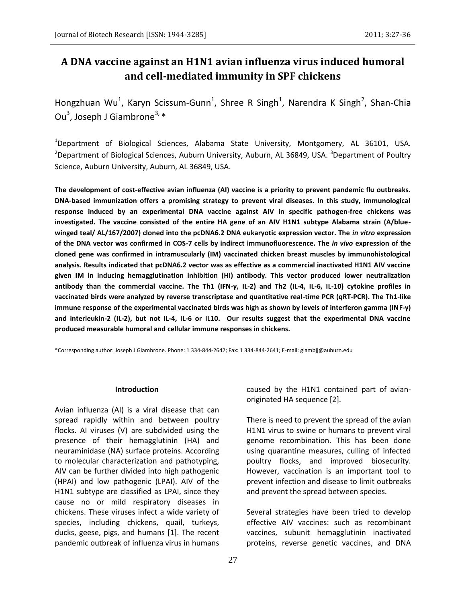# **A DNA vaccine against an H1N1 avian influenza virus induced humoral and cell-mediated immunity in SPF chickens**

Hongzhuan Wu<sup>1</sup>, Karyn Scissum-Gunn<sup>1</sup>, Shree R Singh<sup>1</sup>, Narendra K Singh<sup>2</sup>, Shan-Chia Ou<sup>3</sup>, Joseph J Giambrone<sup>3,</sup> \*

<sup>1</sup>Department of Biological Sciences, Alabama State University, Montgomery, AL 36101, USA. <sup>2</sup>Department of Biological Sciences, Auburn University, Auburn, AL 36849, USA. <sup>3</sup>Department of Poultry Science, Auburn University, Auburn, AL 36849, USA.

**The development of cost-effective avian influenza (AI) vaccine is a priority to prevent pandemic flu outbreaks. DNA-based immunization offers a promising strategy to prevent viral diseases. In this study, immunological response induced by an experimental DNA vaccine against AIV in specific pathogen-free chickens was investigated. The vaccine consisted of the entire HA gene of an AIV H1N1 subtype Alabama strain (A/bluewinged teal/ AL/167/2007) cloned into the pcDNA6.2 DNA eukaryotic expression vector. The** *in vitro* **expression of the DNA vector was confirmed in COS-7 cells by indirect immunofluorescence. The** *in vivo* **expression of the cloned gene was confirmed in intramuscularly (IM) vaccinated chicken breast muscles by immunohistological analysis. Results indicated that pcDNA6.2 vector was as effective as a commercial inactivated H1N1 AIV vaccine given IM in inducing hemagglutination inhibition (HI) antibody. This vector produced lower neutralization antibody than the commercial vaccine. The Th1 (IFN-γ, IL-2) and Th2 (IL-4, IL-6, IL-10) cytokine profiles in vaccinated birds were analyzed by reverse transcriptase and quantitative real-time PCR (qRT-PCR). The Th1-like immune response of the experimental vaccinated birds was high as shown by levels of interferon gamma (INF-γ) and interleukin-2 (IL-2), but not IL-4, IL-6 or IL10. Our results suggest that the experimental DNA vaccine produced measurable humoral and cellular immune responses in chickens.** 

\*Corresponding author: Joseph J Giambrone. Phone: 1 334-844-2642; Fax: 1 334-844-2641; E-mail: giambjj@auburn.edu

#### **Introduction**

Avian influenza (AI) is a viral disease that can spread rapidly within and between poultry flocks. AI viruses (V) are subdivided using the presence of their hemagglutinin (HA) and neuraminidase (NA) surface proteins. According to molecular characterization and pathotyping, AIV can be further divided into high pathogenic (HPAI) and low pathogenic (LPAI). AIV of the H1N1 subtype are classified as LPAI, since they cause no or mild respiratory diseases in chickens. These viruses infect a wide variety of species, including chickens, quail, turkeys, ducks, geese, pigs, and humans [1]. The recent pandemic outbreak of influenza virus in humans

caused by the H1N1 contained part of avianoriginated HA sequence [2].

There is need to prevent the spread of the avian H1N1 virus to swine or humans to prevent viral genome recombination. This has been done using quarantine measures, culling of infected poultry flocks, and improved biosecurity. However, vaccination is an important tool to prevent infection and disease to limit outbreaks and prevent the spread between species.

Several strategies have been tried to develop effective AIV vaccines: such as recombinant vaccines, subunit hemagglutinin inactivated proteins, reverse genetic vaccines, and DNA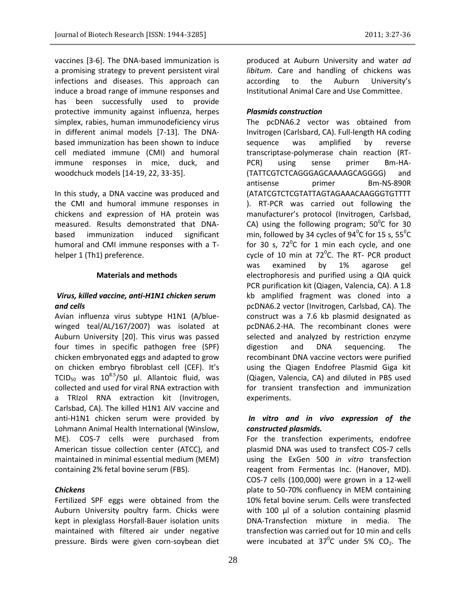vaccines [3-6]. The DNA-based immunization is a promising strategy to prevent persistent viral infections and diseases. This approach can induce a broad range of immune responses and has been successfully used to provide protective immunity against influenza, herpes simplex, rabies, human immunodeficiency virus in different animal models [7-13]. The DNAbased immunization has been shown to induce cell mediated immune (CMI) and humoral immune responses in mice, duck, and woodchuck models [14-19, 22, 33-35].

In this study, a DNA vaccine was produced and the CMI and humoral immune responses in chickens and expression of HA protein was measured. Results demonstrated that DNAbased immunization induced significant humoral and CMI immune responses with a Thelper 1 (Th1) preference.

## **Materials and methods**

## *Virus, killed vaccine, anti-H1N1 chicken serum and cells*

Avian influenza virus subtype H1N1 (A/bluewinged teal/AL/167/2007) was isolated at Auburn University [20]. This virus was passed four times in specific pathogen free (SPF) chicken embryonated eggs and adapted to grow on chicken embryo fibroblast cell (CEF). It's TCID<sub>50</sub> was  $10^{8.5}$ /50 µl. Allantoic fluid, was collected and used for viral RNA extraction with a TRIzol RNA extraction kit (Invitrogen, Carlsbad, CA). The killed H1N1 AIV vaccine and anti-H1N1 chicken serum were provided by Lohmann Animal Health International (Winslow, ME). COS-7 cells were purchased from American tissue collection center (ATCC), and maintained in minimal essential medium (MEM) containing 2% fetal bovine serum (FBS).

## *Chickens*

Fertilized SPF eggs were obtained from the Auburn University poultry farm. Chicks were kept in plexiglass Horsfall-Bauer isolation units maintained with filtered air under negative pressure. Birds were given corn-soybean diet

produced at Auburn University and water *ad libitum*. Care and handling of chickens was according to the Auburn University's Institutional Animal Care and Use Committee.

## *Plasmids construction*

The pcDNA6.2 vector was obtained from Invitrogen (Carlsbard, CA). Full-length HA coding sequence was amplified by reverse transcriptase-polymerase chain reaction (RT-PCR) using sense primer Bm-HA- (TATTCGTCTCAGGGAGCAAAAGCAGGGG) and antisense primer Bm-NS-890R (ATATCGTCTCGTATTAGTAGAAACAAGGGTGTTTT ). RT-PCR was carried out following the manufacturer's protocol (Invitrogen, Carlsbad, CA) using the following program;  $50^{\circ}$ C for 30 min, followed by 34 cycles of 94 $^0$ C for 15 s, 55 $^0$ C for 30 s,  $72^{\circ}$ C for 1 min each cycle, and one cycle of 10 min at 72 $^0$ C. The RT- PCR product was examined by 1% agarose gel electrophoresis and purified using a QIA quick PCR purification kit (Qiagen, Valencia, CA). A 1.8 kb amplified fragment was cloned into a pcDNA6.2 vector (Invitrogen, Carlsbad, CA). The construct was a 7.6 kb plasmid designated as pcDNA6.2-HA. The recombinant clones were selected and analyzed by restriction enzyme digestion and DNA sequencing. The recombinant DNA vaccine vectors were purified using the Qiagen Endofree Plasmid Giga kit (Qiagen, Valencia, CA) and diluted in PBS used for transient transfection and immunization experiments.

## *In vitro and in vivo expression of the constructed plasmids.*

For the transfection experiments, endofree plasmid DNA was used to transfect COS-7 cells using the ExGen 500 *in vitro* transfection reagent from Fermentas Inc. (Hanover, MD). COS-7 cells (100,000) were grown in a 12-well plate to 50-70% confluency in MEM containing 10% fetal bovine serum. Cells were transfected with 100 µl of a solution containing plasmid DNA-Transfection mixture in media. The transfection was carried out for 10 min and cells were incubated at  $37^0C$  under 5%  $CO_2$ . The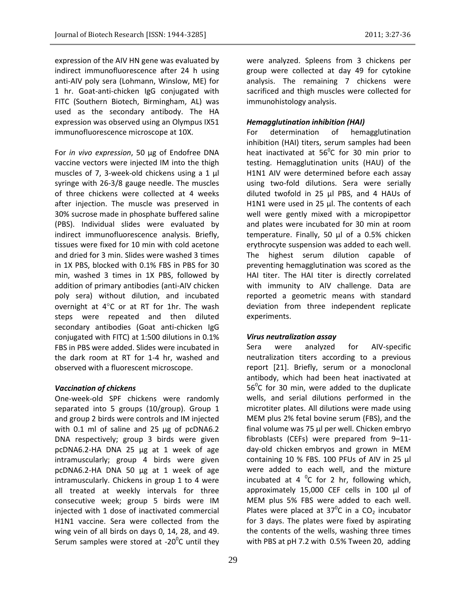expression of the AIV HN gene was evaluated by indirect immunofluorescence after 24 h using anti-AIV poly sera (Lohmann, Winslow, ME) for 1 hr. Goat-anti-chicken IgG conjugated with FITC (Southern Biotech, Birmingham, AL) was used as the secondary antibody. The HA expression was observed using an Olympus IX51 immunofluorescence microscope at 10X.

For *in vivo expression*, 50 μg of Endofree DNA vaccine vectors were injected IM into the thigh muscles of 7, 3-week-old chickens using a 1 µl syringe with 26-3/8 gauge needle. The muscles of three chickens were collected at 4 weeks after injection. The muscle was preserved in 30% sucrose made in phosphate buffered saline (PBS). Individual slides were evaluated by indirect immunofluorescence analysis. Briefly, tissues were fixed for 10 min with cold acetone and dried for 3 min. Slides were washed 3 times in 1X PBS, blocked with 0.1% FBS in PBS for 30 min, washed 3 times in 1X PBS, followed by addition of primary antibodies (anti-AIV chicken poly sera) without dilution, and incubated overnight at  $4^{\circ}$ C or at RT for 1hr. The wash steps were repeated and then diluted secondary antibodies (Goat anti-chicken IgG conjugated with FITC) at 1:500 dilutions in 0.1% FBS in PBS were added. Slides were incubated in the dark room at RT for 1-4 hr, washed and observed with a fluorescent microscope.

#### *Vaccination of chickens*

One-week-old SPF chickens were randomly separated into 5 groups (10/group). Group 1 and group 2 birds were controls and IM injected with 0.1 ml of saline and 25 µg of pcDNA6.2 DNA respectively; group 3 birds were given pcDNA6.2-HA DNA 25 µg at 1 week of age intramuscularly; group 4 birds were given pcDNA6.2-HA DNA 50 µg at 1 week of age intramuscularly. Chickens in group 1 to 4 were all treated at weekly intervals for three consecutive week; group 5 birds were IM injected with 1 dose of inactivated commercial H1N1 vaccine. Sera were collected from the wing vein of all birds on days 0, 14, 28, and 49. Serum samples were stored at -20 $^0$ C until they

29

were analyzed. Spleens from 3 chickens per group were collected at day 49 for cytokine analysis. The remaining 7 chickens were sacrificed and thigh muscles were collected for immunohistology analysis.

#### *Hemagglutination inhibition (HAI)*

For determination of hemagglutination inhibition (HAI) titers, serum samples had been heat inactivated at  $56^{\circ}$ C for 30 min prior to testing. Hemagglutination units (HAU) of the H1N1 AIV were determined before each assay using two-fold dilutions. Sera were serially diluted twofold in 25 µl PBS, and 4 HAUs of H1N1 were used in 25 µl. The contents of each well were gently mixed with a micropipettor and plates were incubated for 30 min at room temperature. Finally, 50 µl of a 0.5% chicken erythrocyte suspension was added to each well. The highest serum dilution capable of preventing hemagglutination was scored as the HAI titer. The HAI titer is directly correlated with immunity to AIV challenge. Data are reported a geometric means with standard deviation from three independent replicate experiments.

## *Virus neutralization assay*

Sera were analyzed for AIV-specific neutralization titers according to a previous report [21]. Briefly, serum or a monoclonal antibody, which had been heat inactivated at 56 $\mathrm{^0C}$  for 30 min, were added to the duplicate wells, and serial dilutions performed in the microtiter plates. All dilutions were made using MEM plus 2% fetal bovine serum (FBS), and the final volume was 75 μl per well. Chicken embryo fibroblasts (CEFs) were prepared from 9–11 day-old chicken embryos and grown in MEM containing 10 % FBS. 100 PFUs of AIV in 25 μl were added to each well, and the mixture incubated at 4  $^0C$  for 2 hr, following which, approximately 15,000 CEF cells in 100 μl of MEM plus 5% FBS were added to each well. Plates were placed at  $37^{\circ}$ C in a CO<sub>2</sub> incubator for 3 days. The plates were fixed by aspirating the contents of the wells, washing three times with PBS at pH 7.2 with 0.5% Tween 20, adding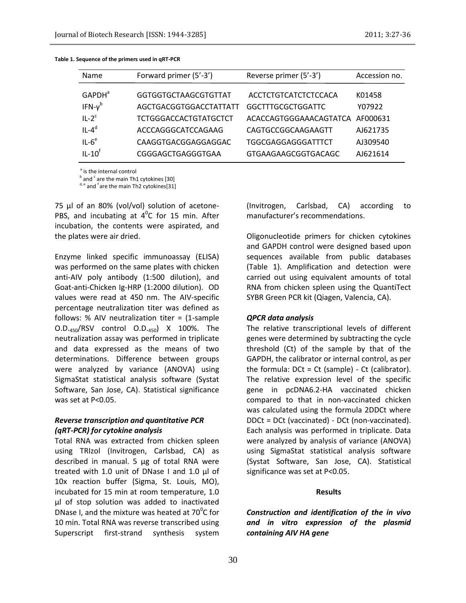| <b>Name</b>               | Forward primer (5'-3')       | Reverse primer (5'-3')          | Accession no. |
|---------------------------|------------------------------|---------------------------------|---------------|
| <b>GAPDH</b> <sup>a</sup> | <b>GGTGGTGCTAAGCGTGTTAT</b>  | ACCTCTGTCATCTCTCCACA            | K01458        |
| IFN- $v^b$                | AGCTGACGGTGGACCTATTATT       | <b>GGCTTTGCGCTGGATTC</b>        | Y07922        |
| $IL-2c$                   | <b>TCTGGGACCACTGTATGCTCT</b> | ACACCAGTGGGAAACAGTATCA AF000631 |               |
| $IL-4d$                   | ACCCAGGGCATCCAGAAG           | CAGTGCCGGCAAGAAGTT              | AJ621735      |
| $IL-6e$                   | CAAGGTGACGGAGGAGGAC          | <b>TGGCGAGGAGGGATTTCT</b>       | AJ309540      |
| $IL-10f$                  | CGGGAGCTGAGGGTGAA            | <b>GTGAAGAAGCGGTGACAGC</b>      | AI621614      |

**Table 1. Sequence of the primers used in qRT-PCR**

<sup>a</sup> is the internal control

 $^{\rm b}$  and  $^{\rm c}$  are the main Th1 cytokines [30]

 $d, e$  and  $f$  are the main Th2 cytokines[31]

75 μl of an 80% (vol/vol) solution of acetone-PBS, and incubating at  $4^{\circ}$ C for 15 min. After incubation, the contents were aspirated, and the plates were air dried.

Enzyme linked specific immunoassay (ELISA) was performed on the same plates with chicken anti-AIV poly antibody (1:500 dilution), and Goat-anti-Chicken Ig-HRP (1:2000 dilution). OD values were read at 450 nm. The AIV-specific percentage neutralization titer was defined as follows: % AIV neutralization titer =  $(1$ -sample O.D.450/RSV control O.D.450) X 100%. The neutralization assay was performed in triplicate and data expressed as the means of two determinations. Difference between groups were analyzed by variance (ANOVA) using SigmaStat statistical analysis software (Systat Software, San Jose, CA). Statistical significance was set at P<0.05.

## *Reverse transcription and quantitative PCR (qRT-PCR) for cytokine analysis*

Total RNA was extracted from chicken spleen using TRIzol (Invitrogen, Carlsbad, CA) as described in manual. 5 µg of total RNA were treated with 1.0 unit of DNase I and 1.0 µl of 10x reaction buffer (Sigma, St. Louis, MO), incubated for 15 min at room temperature, 1.0 µl of stop solution was added to inactivated DNase I, and the mixture was heated at 70 $\mathrm{^0C}$  for 10 min. Total RNA was reverse transcribed using Superscript first-strand synthesis system

(Invitrogen, Carlsbad, CA) according to manufacturer's recommendations.

Oligonucleotide primers for chicken cytokines and GAPDH control were designed based upon sequences available from public databases (Table 1). Amplification and detection were carried out using equivalent amounts of total RNA from chicken spleen using the QuantiTect SYBR Green PCR kit (Qiagen, Valencia, CA).

## *QPCR data analysis*

The relative transcriptional levels of different genes were determined by subtracting the cycle threshold (Ct) of the sample by that of the GAPDH, the calibrator or internal control, as per the formula:  $DCt = Ct$  (sample) -  $Ct$  (calibrator). The relative expression level of the specific gene in pcDNA6.2-HA vaccinated chicken compared to that in non-vaccinated chicken was calculated using the formula 2DDCt where DDCt = DCt (vaccinated) - DCt (non-vaccinated). Each analysis was performed in triplicate. Data were analyzed by analysis of variance (ANOVA) using SigmaStat statistical analysis software (Systat Software, San Jose, CA). Statistical significance was set at P<0.05.

#### **Results**

*Construction and identification of the in vivo and in vitro expression of the plasmid containing AIV HA gene*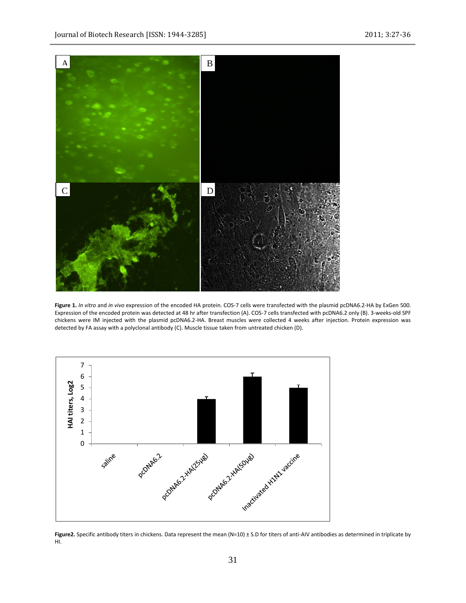

**Figure 1.** *In vitro* and *in vivo* expression of the encoded HA protein. COS-7 cells were transfected with the plasmid pcDNA6.2-HA by ExGen 500. Expression of the encoded protein was detected at 48 hr after transfection (A). COS-7 cells transfected with pcDNA6.2 only (B). 3-weeks-old SPF chickens were IM injected with the plasmid pcDNA6.2-HA. Breast muscles were collected 4 weeks after injection. Protein expression was detected by FA assay with a polyclonal antibody (C). Muscle tissue taken from untreated chicken (D).



**Figure2.** Specific antibody titers in chickens. Data represent the mean (N=10) ± S.D for titers of anti-AIV antibodies as determined in triplicate by HI.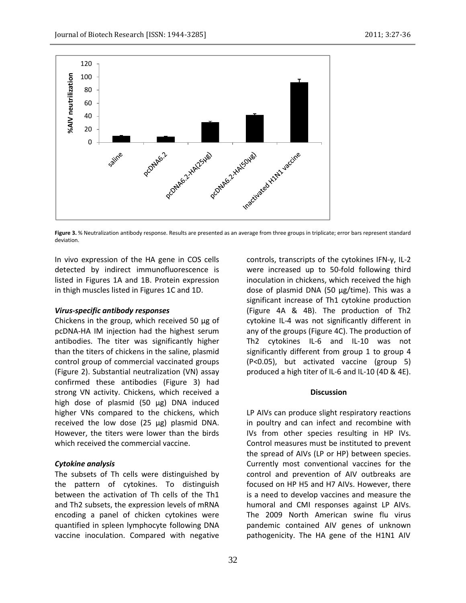

Figure 3. % Neutralization antibody response. Results are presented as an average from three groups in triplicate; error bars represent standard deviation.

In vivo expression of the HA gene in COS cells detected by indirect immunofluorescence is listed in Figures 1A and 1B. Protein expression in thigh muscles listed in Figures 1C and 1D.

#### *Virus-specific antibody responses*

Chickens in the group, which received 50 µg of pcDNA-HA IM injection had the highest serum antibodies. The titer was significantly higher than the titers of chickens in the saline, plasmid control group of commercial vaccinated groups (Figure 2). Substantial neutralization (VN) assay confirmed these antibodies (Figure 3) had strong VN activity. Chickens, which received a high dose of plasmid (50 µg) DNA induced higher VNs compared to the chickens, which received the low dose (25 µg) plasmid DNA. However, the titers were lower than the birds which received the commercial vaccine.

## *Cytokine analysis*

The subsets of Th cells were distinguished by the pattern of cytokines. To distinguish between the activation of Th cells of the Th1 and Th2 subsets, the expression levels of mRNA encoding a panel of chicken cytokines were quantified in spleen lymphocyte following DNA vaccine inoculation. Compared with negative

controls, transcripts of the cytokines IFN-γ, IL-2 were increased up to 50-fold following third inoculation in chickens, which received the high dose of plasmid DNA (50 µg/time). This was a significant increase of Th1 cytokine production (Figure 4A & 4B). The production of Th2 cytokine IL-4 was not significantly different in any of the groups (Figure 4C). The production of Th2 cytokines IL-6 and IL-10 was not significantly different from group 1 to group 4 (P<0.05), but activated vaccine (group 5) produced a high titer of IL-6 and IL-10 (4D & 4E).

#### **Discussion**

LP AIVs can produce slight respiratory reactions in poultry and can infect and recombine with IVs from other species resulting in HP IVs. Control measures must be instituted to prevent the spread of AIVs (LP or HP) between species. Currently most conventional vaccines for the control and prevention of AIV outbreaks are focused on HP H5 and H7 AIVs. However, there is a need to develop vaccines and measure the humoral and CMI responses against LP AIVs. The 2009 North American swine flu virus pandemic contained AIV genes of unknown pathogenicity. The HA gene of the H1N1 AIV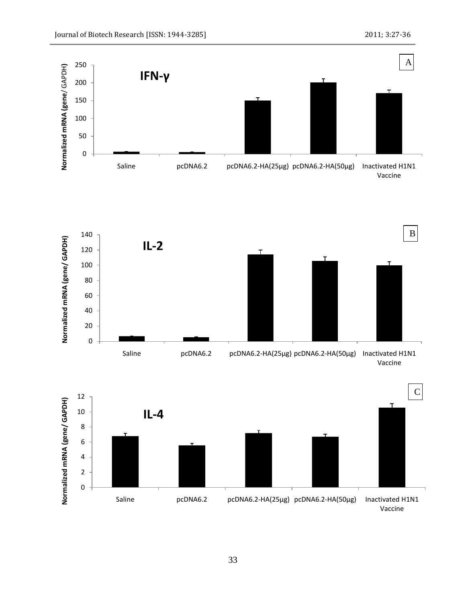



C12 Normalized mRNA (gene/ GAPDH) **Normalized mRNA (gene/ GAPDH)** 10 **IL-4** 8 6 4 2 0 Saline pcDNA6.2 pcDNA6.2-HA(25µg) pcDNA6.2-HA(50µg) Inactivated H1N1 Vaccine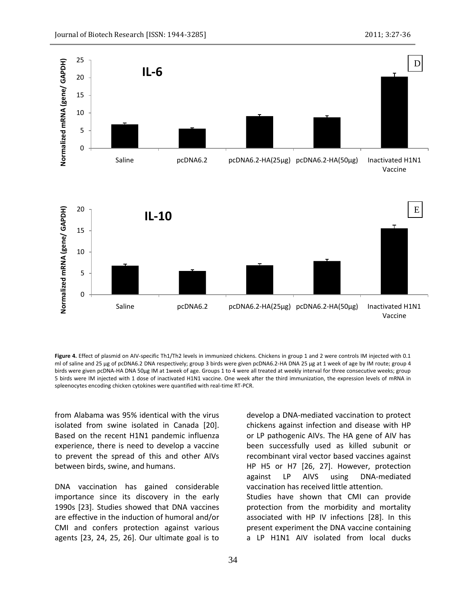

**Figure 4.** Effect of plasmid on AIV-specific Th1/Th2 levels in immunized chickens. Chickens in group 1 and 2 were controls IM injected with 0.1 ml of saline and 25 µg of pcDNA6.2 DNA respectively; group 3 birds were given pcDNA6.2-HA DNA 25 µg at 1 week of age by IM route; group 4 birds were given pcDNA-HA DNA 50µg IM at 1week of age. Groups 1 to 4 were all treated at weekly interval for three consecutive weeks; group 5 birds were IM injected with 1 dose of inactivated H1N1 vaccine. One week after the third immunization, the expression levels of mRNA in spleenocytes encoding chicken cytokines were quantified with real-time RT-PCR.

from Alabama was 95% identical with the virus isolated from swine isolated in Canada [20]. Based on the recent H1N1 pandemic influenza experience, there is need to develop a vaccine to prevent the spread of this and other AIVs between birds, swine, and humans.

DNA vaccination has gained considerable importance since its discovery in the early 1990s [23]. Studies showed that DNA vaccines are effective in the induction of humoral and/or CMI and confers protection against various agents [23, 24, 25, 26]. Our ultimate goal is to

develop a DNA-mediated vaccination to protect chickens against infection and disease with HP or LP pathogenic AIVs. The HA gene of AIV has been successfully used as killed subunit or recombinant viral vector based vaccines against HP H5 or H7 [26, 27]. However, protection against LP AIVS using DNA-mediated vaccination has received little attention. Studies have shown that CMI can provide protection from the morbidity and mortality associated with HP IV infections [28]. In this present experiment the DNA vaccine containing a LP H1N1 AIV isolated from local ducks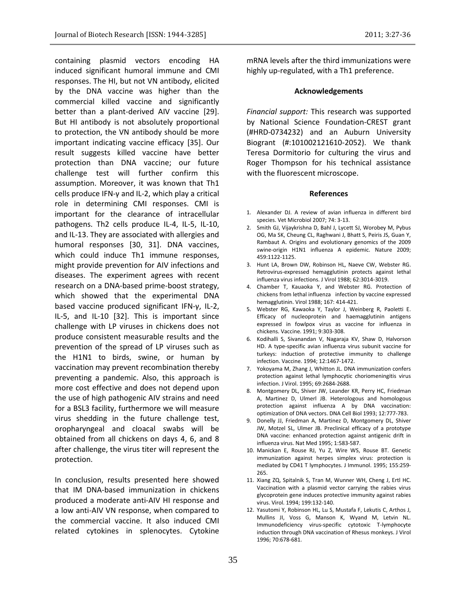containing plasmid vectors encoding HA induced significant humoral immune and CMI responses. The HI, but not VN antibody, elicited by the DNA vaccine was higher than the commercial killed vaccine and significantly better than a plant-derived AIV vaccine [29]. But HI antibody is not absolutely proportional to protection, the VN antibody should be more important indicating vaccine efficacy [35]. Our result suggests killed vaccine have better protection than DNA vaccine; our future challenge test will further confirm this assumption. Moreover, it was known that Th1 cells produce IFN-γ and IL-2, which play a critical role in determining CMI responses. CMI is important for the clearance of intracellular pathogens. Th2 cells produce IL-4, IL-5, IL-10, and IL-13. They are associated with allergies and humoral responses [30, 31]. DNA vaccines, which could induce Th1 immune responses, might provide prevention for AIV infections and diseases. The experiment agrees with recent research on a DNA-based prime-boost strategy, which showed that the experimental DNA based vaccine produced significant IFN-γ, IL-2, IL-5, and IL-10 [32]. This is important since challenge with LP viruses in chickens does not produce consistent measurable results and the prevention of the spread of LP viruses such as the H1N1 to birds, swine, or human by vaccination may prevent recombination thereby preventing a pandemic. Also, this approach is more cost effective and does not depend upon the use of high pathogenic AIV strains and need for a BSL3 facility, furthermore we will measure virus shedding in the future challenge test, oropharyngeal and cloacal swabs will be obtained from all chickens on days 4, 6, and 8 after challenge, the virus titer will represent the protection.

In conclusion, results presented here showed that IM DNA-based immunization in chickens produced a moderate anti-AIV HI response and a low anti-AIV VN response, when compared to the commercial vaccine. It also induced CMI related cytokines in splenocytes. Cytokine

mRNA levels after the third immunizations were highly up-regulated, with a Th1 preference.

#### **Acknowledgements**

*Financial support:* This research was supported by National Science Foundation-CREST grant (#HRD-0734232) and an Auburn University Biogrant (#:101002121610-2052). We thank Teresa Dormitorio for culturing the virus and Roger Thompson for his technical assistance with the fluorescent microscope.

#### **References**

- 1. Alexander DJ. A review of avian influenza in different bird species. Vet Microbiol 2007; 74: 3-13.
- 2. Smith GJ, Vijaykrishna D, Bahl J, Lycett SJ, Worobey M, Pybus OG, Ma SK, Cheung CL, Raghwani J, Bhatt S, Peiris JS, Guan Y, Rambaut A. Origins and evolutionary genomics of the 2009 swine-origin H1N1 influenza A epidemic. Nature 2009; 459:1122-1125.
- 3. Hunt LA, Brown DW, Robinson HL, Naeve CW, Webster RG. Retrovirus-expressed hemagglutinin protects against lethal influenza virus infections. J Virol 1988; 62:3014-3019.
- 4. Chamber T, Kauaoka Y, and Webster RG. Protection of chickens from lethal influenza infection by vaccine expressed hemagglutinin. Virol 1988; 167: 414-421.
- 5. Webster RG, Kawaoka Y, Taylor J, Weinberg R, Paoletti E. Efficacy of nucleoprotein and haemagglutinin antigens expressed in fowlpox virus as vaccine for influenza in chickens. Vaccine. 1991; 9:303-308.
- 6. Kodihalli S, Sivanandan V, Nagaraja KV, Shaw D, Halvorson HD. A type-specific avian influenza virus subunit vaccine for turkeys: induction of protective immunity to challenge infection. Vaccine. 1994; 12:1467-1472.
- 7. Yokoyama M, Zhang J, Whitton JL. DNA immunization confers protection against lethal lymphocytic choriomeningitis virus infection. J Virol. 1995; 69:2684-2688.
- 8. Montgomery DL, Shiver JW, Leander KR, Perry HC, Friedman A, Martinez D, Ulmerl JB. Heterologous and homologous protection against influenza A by DNA vaccination: optimization of DNA vectors. DNA Cell Biol 1993; 12:777-783.
- 9. Donelly JJ, Friedman A, Martinez D, Montgomery DL, Shiver JW, Motzel SL, Ulmer JB. Preclinical efficacy of a prototype DNA vaccine: enhanced protection against antigenic drift in influenza virus. Nat Med 1995; 1:583-587.
- 10. Manickan E, Rouse RJ, Yu Z, Wire WS, Rouse BT. Genetic immunization against herpes simplex virus: protection is mediated by CD41 T lymphocytes. J Immunol. 1995; 155:259- 265.
- 11. Xiang ZQ, Spitalnik S, Tran M, Wunner WH, Cheng J, Ertl HC. Vaccination with a plasmid vector carrying the rabies virus glycoprotein gene induces protective immunity against rabies virus. Virol. 1994; 199:132-140.
- 12. Yasutomi Y, Robinson HL, Lu S, Mustafa F, Lekutis C, Arthos J, Mullins JI, Voss G, Manson K, Wyand M, Letvin NL. Immunodeficiency virus-specific cytotoxic T-lymphocyte induction through DNA vaccination of Rhesus monkeys. J Virol 1996; 70:678-681.